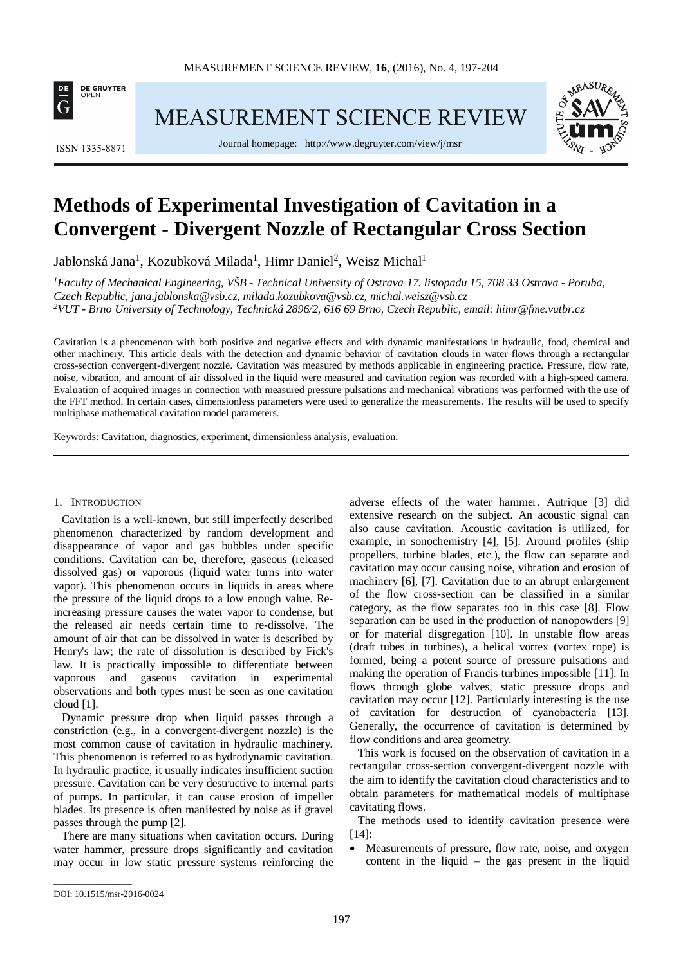

**MEASUREMENT SCIENCE REVIEW** 



**ISSN 1335-8871** 

Journal homepage: <http://www.degruyter.com/view/j/msr>

# **Methods of Experimental Investigation of Cavitation in a Convergent - Divergent Nozzle of Rectangular Cross Section**

Jablonská Jana<sup>1</sup>, Kozubková Milada<sup>1</sup>, Himr Daniel<sup>2</sup>, Weisz Michal<sup>1</sup>

*1 Faculty of Mechanical Engineering, VŠB - Technical University of Ostrava, 17. listopadu 15, 708 33 Ostrava - Poruba, Czech Republic, jana.jablonska@vsb.cz, milada.kozubkova@vsb.cz[, michal.weisz@vsb.cz](mailto:michal.weisz@vsb.cz) 2 VUT - Brno University of Technology, Technická 2896/2, 616 69 Brno, Czech Republic, email: himr@fme.vutbr.cz* 

Cavitation is a phenomenon with both positive and negative effects and with dynamic manifestations in hydraulic, food, chemical and other machinery. This article deals with the detection and dynamic behavior of cavitation clouds in water flows through a rectangular cross-section convergent-divergent nozzle. Cavitation was measured by methods applicable in engineering practice. Pressure, flow rate, noise, vibration, and amount of air dissolved in the liquid were measured and cavitation region was recorded with a high-speed camera. Evaluation of acquired images in connection with measured pressure pulsations and mechanical vibrations was performed with the use of the FFT method. In certain cases, dimensionless parameters were used to generalize the measurements. The results will be used to specify multiphase mathematical cavitation model parameters.

Keywords: Cavitation, diagnostics, experiment, dimensionless analysis, evaluation.

### 1. INTRODUCTION

Cavitation is a well-known, but still imperfectly described phenomenon characterized by random development and disappearance of vapor and gas bubbles under specific conditions. Cavitation can be, therefore, gaseous (released dissolved gas) or vaporous (liquid water turns into water vapor). This phenomenon occurs in liquids in areas where the pressure of the liquid drops to a low enough value. Reincreasing pressure causes the water vapor to condense, but the released air needs certain time to re-dissolve. The amount of air that can be dissolved in water is described by Henry's law; the rate of dissolution is described by Fick's law. It is practically impossible to differentiate between vaporous and gaseous cavitation in experimental observations and both types must be seen as one cavitation cloud [1].

Dynamic pressure drop when liquid passes through a constriction (e.g., in a convergent-divergent nozzle) is the most common cause of cavitation in hydraulic machinery. This phenomenon is referred to as hydrodynamic cavitation. In hydraulic practice, it usually indicates insufficient suction pressure. Cavitation can be very destructive to internal parts of pumps. In particular, it can cause erosion of impeller blades. Its presence is often manifested by noise as if gravel passes through the pump [2].

There are many situations when cavitation occurs. During water hammer, pressure drops significantly and cavitation may occur in low static pressure systems reinforcing the adverse effects of the water hammer. Autrique [3] did extensive research on the subject. An acoustic signal can also cause cavitation. Acoustic cavitation is utilized, for example, in sonochemistry [4], [5]. Around profiles (ship propellers, turbine blades, etc.), the flow can separate and cavitation may occur causing noise, vibration and erosion of machinery [6], [7]. Cavitation due to an abrupt enlargement of the flow cross-section can be classified in a similar category, as the flow separates too in this case [8]. Flow separation can be used in the production of nanopowders [9] or for material disgregation [10]. In unstable flow areas (draft tubes in turbines), a helical vortex (vortex rope) is formed, being a potent source of pressure pulsations and making the operation of Francis turbines impossible [11]. In flows through globe valves, static pressure drops and cavitation may occur [12]. Particularly interesting is the use of cavitation for destruction of cyanobacteria [13]. Generally, the occurrence of cavitation is determined by flow conditions and area geometry.

This work is focused on the observation of cavitation in a rectangular cross-section convergent-divergent nozzle with the aim to identify the cavitation cloud characteristics and to obtain parameters for mathematical models of multiphase cavitating flows.

The methods used to identify cavitation presence were [14]:

Measurements of pressure, flow rate, noise, and oxygen content in the liquid – the gas present in the liquid

\_\_\_\_\_\_\_\_\_\_\_\_\_\_\_\_\_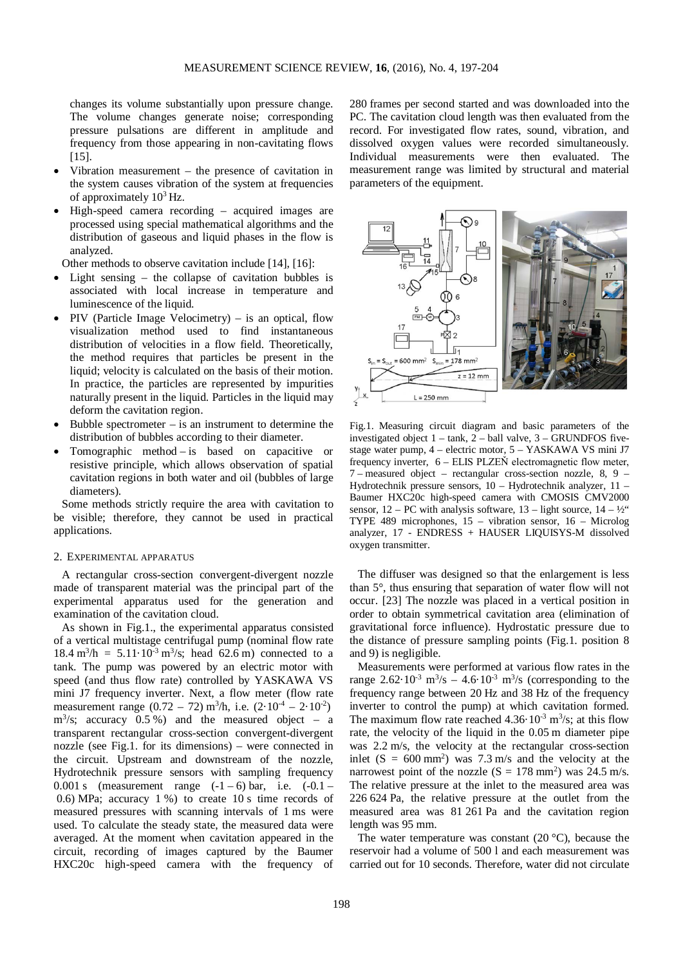changes its volume substantially upon pressure change. The volume changes generate noise; corresponding pressure pulsations are different in amplitude and frequency from those appearing in non-cavitating flows [15].

- Vibration measurement  $-$  the presence of cavitation in the system causes vibration of the system at frequencies of approximately 103 Hz.
- High-speed camera recording  $-$  acquired images are processed using special mathematical algorithms and the distribution of gaseous and liquid phases in the flow is analyzed.

Other methods to observe cavitation include [14], [16]:

- Light sensing the collapse of cavitation bubbles is associated with local increase in temperature and luminescence of the liquid.
- PIV (Particle Image Velocimetry) is an optical, flow visualization method used to find instantaneous distribution of velocities in a flow field. Theoretically, the method requires that particles be present in the liquid; velocity is calculated on the basis of their motion. In practice, the particles are represented by impurities naturally present in the liquid. Particles in the liquid may deform the cavitation region.
- Bubble spectrometer  $-$  is an instrument to determine the distribution of bubbles according to their diameter.
- Tomographic method  $-$  is based on capacitive or resistive principle, which allows observation of spatial cavitation regions in both water and oil (bubbles of large diameters).

Some methods strictly require the area with cavitation to be visible; therefore, they cannot be used in practical applications.

# 2. EXPERIMENTAL APPARATUS

A rectangular cross-section convergent-divergent nozzle made of transparent material was the principal part of the experimental apparatus used for the generation and examination of the cavitation cloud.

As shown in Fig.1., the experimental apparatus consisted of a vertical multistage centrifugal pump (nominal flow rate  $18.4 \text{ m}^3/\text{h} = 5.11 \cdot 10^{-3} \text{ m}^3/\text{s}$ ; head 62.6 m) connected to a tank. The pump was powered by an electric motor with speed (and thus flow rate) controlled by YASKAWA VS mini J7 frequency inverter. Next, a flow meter (flow rate measurement range  $(0.72 - 72)$  m<sup>3</sup>/h, i.e.  $(2.10^{-4} - 2.10^{-2})$  $\text{m}^3\text{/s}$ ; accuracy 0.5%) and the measured object – a transparent rectangular cross-section convergent-divergent nozzle (see Fig.1. for its dimensions) – were connected in the circuit. Upstream and downstream of the nozzle, Hydrotechnik pressure sensors with sampling frequency 0.001 s (measurement range  $(-1 - 6)$  bar, i.e.  $(-0.1 -$ 0.6) MPa; accuracy 1 %) to create 10 s time records of measured pressures with scanning intervals of 1 ms were used. To calculate the steady state, the measured data were averaged. At the moment when cavitation appeared in the circuit, recording of images captured by the Baumer HXC20c high-speed camera with the frequency of

280 frames per second started and was downloaded into the PC. The cavitation cloud length was then evaluated from the record. For investigated flow rates, sound, vibration, and dissolved oxygen values were recorded simultaneously. Individual measurements were then evaluated. The measurement range was limited by structural and material parameters of the equipment.



Fig.1. Measuring circuit diagram and basic parameters of the investigated object  $1 - \text{tank}$ ,  $2 - \text{ball value}$ ,  $3 - \text{GRUNDFOS}$  fivestage water pump, 4 – electric motor, 5 – YASKAWA VS mini J7 frequency inverter, 6 – ELIS PLZEŇ electromagnetic flow meter,  $7$  – measured object – rectangular cross-section nozzle, 8, 9 – Hydrotechnik pressure sensors, 10 – Hydrotechnik analyzer, 11 – Baumer HXC20c high-speed camera with CMOSIS CMV2000 sensor,  $12 - PC$  with analysis software,  $13 - light$  source,  $14 - \frac{1}{2}$ " TYPE 489 microphones, 15 – vibration sensor, 16 – Microlog analyzer, 17 - ENDRESS + HAUSER LIQUISYS-M dissolved oxygen transmitter.

The diffuser was designed so that the enlargement is less than 5°, thus ensuring that separation of water flow will not occur. [23] The nozzle was placed in a vertical position in order to obtain symmetrical cavitation area (elimination of gravitational force influence). Hydrostatic pressure due to the distance of pressure sampling points (Fig.1. position 8 and 9) is negligible.

Measurements were performed at various flow rates in the range  $2.62 \cdot 10^{-3}$  m<sup>3</sup>/s  $- 4.6 \cdot 10^{-3}$  m<sup>3</sup>/s (corresponding to the frequency range between 20 Hz and 38 Hz of the frequency inverter to control the pump) at which cavitation formed. The maximum flow rate reached  $4.36 \cdot 10^{-3}$  m<sup>3</sup>/s; at this flow rate, the velocity of the liquid in the 0.05 m diameter pipe was 2.2 m/s, the velocity at the rectangular cross-section inlet  $(S = 600 \text{ mm}^2)$  was 7.3 m/s and the velocity at the narrowest point of the nozzle  $(S = 178 \text{ mm}^2)$  was 24.5 m/s. The relative pressure at the inlet to the measured area was 226 624 Pa, the relative pressure at the outlet from the measured area was 81 261 Pa and the cavitation region length was 95 mm.

The water temperature was constant  $(20 \degree C)$ , because the reservoir had a volume of 500 l and each measurement was carried out for 10 seconds. Therefore, water did not circulate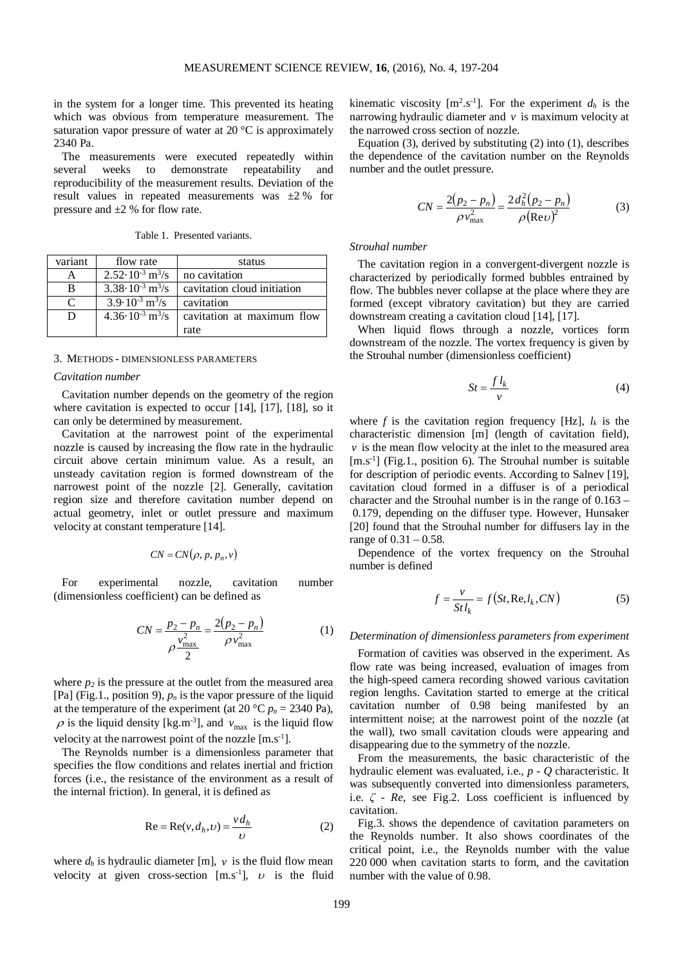in the system for a longer time. This prevented its heating which was obvious from temperature measurement. The saturation vapor pressure of water at 20 °C is approximately 2340 Pa.

The measurements were executed repeatedly within several weeks to demonstrate repeatability and reproducibility of the measurement results. Deviation of the result values in repeated measurements was  $\pm 2\%$  for pressure and ±2 % for flow rate.

| variant   | flow rate                                                    | status                      |
|-----------|--------------------------------------------------------------|-----------------------------|
|           | $2.52 \cdot 10^{-3}$ m <sup>3</sup> /s                       | no cavitation               |
| B         | $3.38 \cdot 10^{-3}$ m <sup>3</sup> /s                       | cavitation cloud initiation |
| $\subset$ | $\frac{3.9 \cdot 10^{-3}}{2 \cdot 10^{3}}$ m <sup>3</sup> /s | cavitation                  |
| D         | $4.36 \cdot 10^{-3}$ m <sup>3</sup> /s                       | cavitation at maximum flow  |
|           |                                                              | rate                        |

Table 1. Presented variants.

# 3. METHODS - DIMENSIONLESS PARAMETERS

# *Cavitation number*

Cavitation number depends on the geometry of the region where cavitation is expected to occur [14], [17], [18], so it can only be determined by measurement.

Cavitation at the narrowest point of the experimental nozzle is caused by increasing the flow rate in the hydraulic circuit above certain minimum value. As a result, an unsteady cavitation region is formed downstream of the narrowest point of the nozzle [2]. Generally, cavitation region size and therefore cavitation number depend on actual geometry, inlet or outlet pressure and maximum velocity at constant temperature [14].

$$
CN = CN(\rho, p, p_n, v)
$$

For experimental nozzle, cavitation number (dimensionless coefficient) can be defined as

$$
CN = \frac{p_2 - p_n}{\rho \frac{v_{\text{max}}^2}{2}} = \frac{2(p_2 - p_n)}{\rho v_{\text{max}}^2}
$$
 (1)

where  $p_2$  is the pressure at the outlet from the measured area [Pa] (Fig.1., position 9),  $p_n$  is the vapor pressure of the liquid at the temperature of the experiment (at  $20^{\circ}C p_n = 2340 \text{ Pa}$ ),  $\rho$  is the liquid density [kg.m<sup>-3</sup>], and  $v_{\text{max}}$  is the liquid flow velocity at the narrowest point of the nozzle [m.s<sup>-1</sup>].

The Reynolds number is a dimensionless parameter that specifies the flow conditions and relates inertial and friction forces (i.e., the resistance of the environment as a result of the internal friction). In general, it is defined as

$$
Re = Re(v, d_h, v) = \frac{v d_h}{v}
$$
 (2)

where  $d_h$  is hydraulic diameter [m],  $v$  is the fluid flow mean velocity at given cross-section  $[m.s^{-1}]$ ,  $\nu$  is the fluid kinematic viscosity  $[m^2 \text{.} s^1]$ . For the experiment  $d_h$  is the narrowing hydraulic diameter and *v* is maximum velocity at the narrowed cross section of nozzle.

Equation  $(3)$ , derived by substituting  $(2)$  into  $(1)$ , describes the dependence of the cavitation number on the Reynolds number and the outlet pressure.

$$
CN = \frac{2(p_2 - p_n)}{\rho v_{\text{max}}^2} = \frac{2d_h^2(p_2 - p_n)}{\rho (\text{Re}\, v)^2}
$$
(3)

## *Strouhal number*

The cavitation region in a convergent-divergent nozzle is characterized by periodically formed bubbles entrained by flow. The bubbles never collapse at the place where they are formed (except vibratory cavitation) but they are carried downstream creating a cavitation cloud [14], [17].

When liquid flows through a nozzle, vortices form downstream of the nozzle. The vortex frequency is given by the Strouhal number (dimensionless coefficient)

$$
St = \frac{f l_k}{v} \tag{4}
$$

where *f* is the cavitation region frequency [Hz],  $l_k$  is the characteristic dimension [m] (length of cavitation field),  $\nu$  is the mean flow velocity at the inlet to the measured area [m.s<sup>-1</sup>] (Fig.1., position 6). The Strouhal number is suitable for description of periodic events. According to Salnev [19], cavitation cloud formed in a diffuser is of a periodical character and the Strouhal number is in the range of 0.163 – 0.179, depending on the diffuser type. However, Hunsaker [20] found that the Strouhal number for diffusers lay in the range of  $0.31 - 0.58$ .

Dependence of the vortex frequency on the Strouhal number is defined

$$
f = \frac{v}{Stl_k} = f(St, Re, l_k, CN)
$$
 (5)

#### *Determination of dimensionless parameters from experiment*

Formation of cavities was observed in the experiment. As flow rate was being increased, evaluation of images from the high-speed camera recording showed various cavitation region lengths. Cavitation started to emerge at the critical cavitation number of 0.98 being manifested by an intermittent noise; at the narrowest point of the nozzle (at the wall), two small cavitation clouds were appearing and disappearing due to the symmetry of the nozzle.

From the measurements, the basic characteristic of the hydraulic element was evaluated, i.e., *p* - *Q* characteristic. It was subsequently converted into dimensionless parameters, i.e. *ζ* - *Re*, see Fig.2. Loss coefficient is influenced by cavitation.

Fig.3. shows the dependence of cavitation parameters on the Reynolds number. It also shows coordinates of the critical point, i.e., the Reynolds number with the value 220 000 when cavitation starts to form, and the cavitation number with the value of 0.98.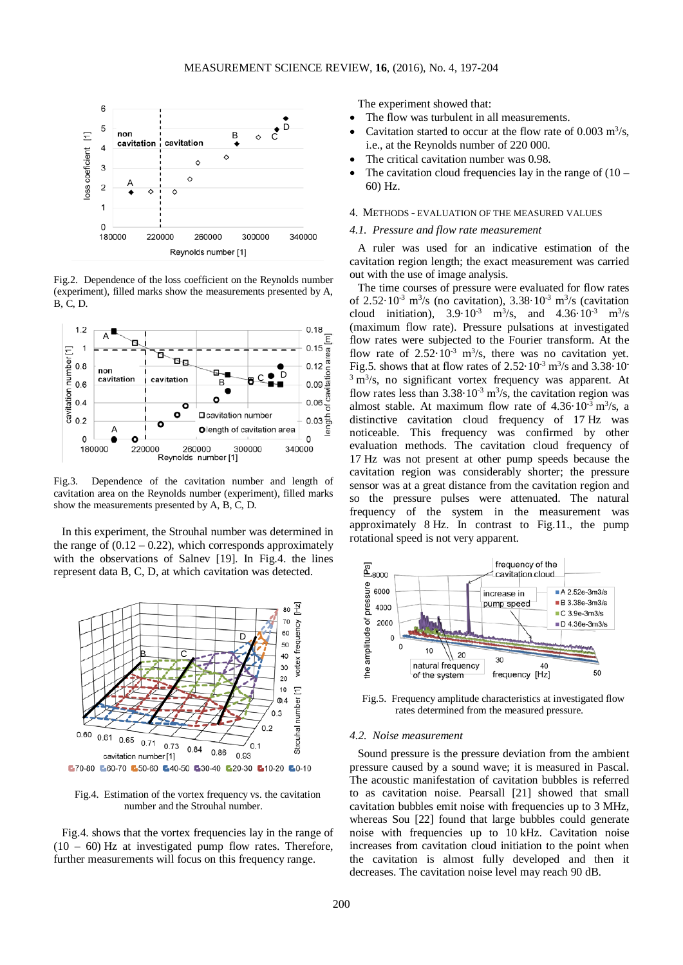

Fig.2. Dependence of the loss coefficient on the Reynolds number (experiment), filled marks show the measurements presented by A, B, C, D.



Fig.3. Dependence of the cavitation number and length of cavitation area on the Reynolds number (experiment), filled marks show the measurements presented by A, B, C, D.

In this experiment, the Strouhal number was determined in the range of  $(0.12 - 0.22)$ , which corresponds approximately with the observations of Salnev [19]. In Fig.4. the lines represent data B, C, D, at which cavitation was detected.



Fig.4. Estimation of the vortex frequency vs. the cavitation number and the Strouhal number.

Fig.4. shows that the vortex frequencies lay in the range of  $(10 - 60)$  Hz at investigated pump flow rates. Therefore, further measurements will focus on this frequency range.

The experiment showed that:

- The flow was turbulent in all measurements.
- Cavitation started to occur at the flow rate of 0.003  $\mathrm{m}^3/\mathrm{s}$ , i.e., at the Reynolds number of 220 000.
- The critical cavitation number was 0.98.
- The cavitation cloud frequencies lay in the range of  $(10 -$ 60) Hz.

#### 4. METHODS - EVALUATION OF THE MEASURED VALUES

### *4.1. Pressure and flow rate measurement*

A ruler was used for an indicative estimation of the cavitation region length; the exact measurement was carried out with the use of image analysis.

The time courses of pressure were evaluated for flow rates of 2.52 $\cdot$ 10<sup>-3</sup> m<sup>3</sup>/s (no cavitation), 3.38 $\cdot$ 10<sup>-3</sup> m<sup>3</sup>/s (cavitation cloud initiation),  $3.9 \cdot 10^{-3}$  m<sup>3</sup>/s, and  $4.36 \cdot 10^{-3}$  m<sup>3</sup>/s (maximum flow rate). Pressure pulsations at investigated flow rates were subjected to the Fourier transform. At the flow rate of  $2.52 \cdot 10^{-3}$  m<sup>3</sup>/s, there was no cavitation yet. Fig.5. shows that at flow rates of  $2.52 \cdot 10^{-3}$  m<sup>3</sup>/s and  $3.38 \cdot 10^{-3}$ <sup>3</sup> m<sup>3</sup>/s, no significant vortex frequency was apparent. At flow rates less than  $3.38 \cdot 10^{-3}$  m<sup>3</sup>/s, the cavitation region was almost stable. At maximum flow rate of  $4.36 \cdot 10^{-3}$  m<sup>3</sup>/s, a distinctive cavitation cloud frequency of 17 Hz was noticeable. This frequency was confirmed by other evaluation methods. The cavitation cloud frequency of 17 Hz was not present at other pump speeds because the cavitation region was considerably shorter; the pressure sensor was at a great distance from the cavitation region and so the pressure pulses were attenuated. The natural frequency of the system in the measurement was approximately 8 Hz. In contrast to Fig.11., the pump rotational speed is not very apparent.



Fig.5. Frequency amplitude characteristics at investigated flow rates determined from the measured pressure.

#### *4.2. Noise measurement*

Sound pressure is the pressure deviation from the ambient pressure caused by a sound wave; it is measured in Pascal. The acoustic manifestation of cavitation bubbles is referred to as cavitation noise. Pearsall [21] showed that small cavitation bubbles emit noise with frequencies up to 3 MHz, whereas Sou [22] found that large bubbles could generate noise with frequencies up to 10 kHz. Cavitation noise increases from cavitation cloud initiation to the point when the cavitation is almost fully developed and then it decreases. The cavitation noise level may reach 90 dB.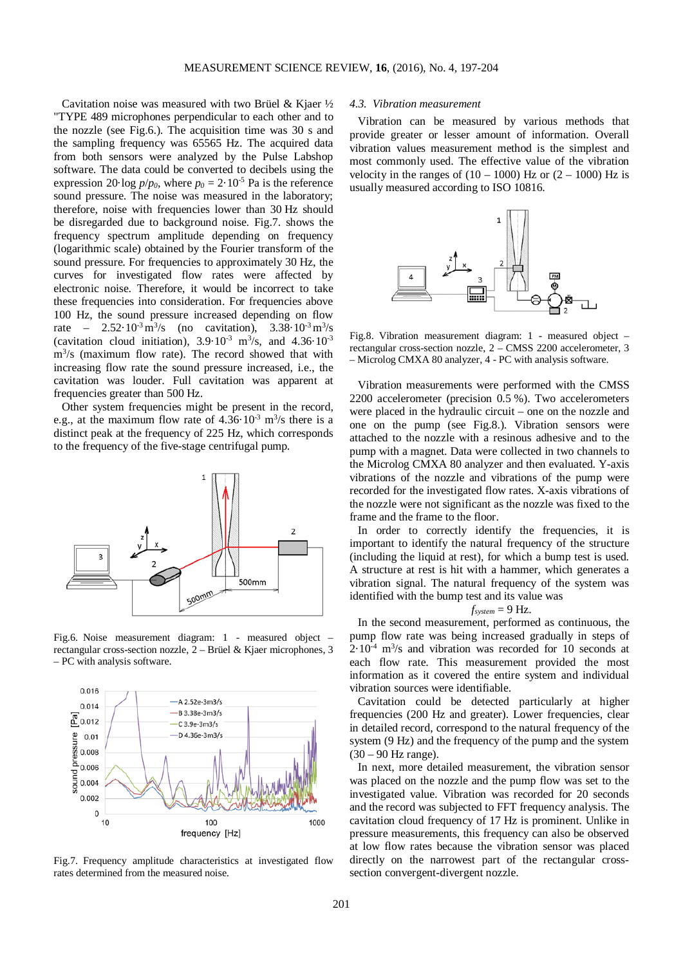Cavitation noise was measured with two Brüel & Kjaer  $\frac{1}{2}$ "TYPE 489 microphones perpendicular to each other and to the nozzle (see Fig.6.). The acquisition time was 30 s and the sampling frequency was 65565 Hz. The acquired data from both sensors were analyzed by the Pulse Labshop software. The data could be converted to decibels using the expression 20·log  $p/p_0$ , where  $p_0 = 2.10^{-5}$  Pa is the reference sound pressure. The noise was measured in the laboratory; therefore, noise with frequencies lower than 30 Hz should be disregarded due to background noise. Fig.7. shows the frequency spectrum amplitude depending on frequency (logarithmic scale) obtained by the Fourier transform of the sound pressure. For frequencies to approximately 30 Hz, the curves for investigated flow rates were affected by electronic noise. Therefore, it would be incorrect to take these frequencies into consideration. For frequencies above 100 Hz, the sound pressure increased depending on flow rate –  $2.52 \cdot 10^{-3} \text{ m}^3/\text{s}$  (no cavitation),  $3.38 \cdot 10^{-3} \text{ m}^3/\text{s}$ (cavitation cloud initiation),  $3.9 \cdot 10^{-3}$  m<sup>3</sup>/s, and  $4.36 \cdot 10^{-3}$ m3 /s (maximum flow rate). The record showed that with increasing flow rate the sound pressure increased, i.e., the cavitation was louder. Full cavitation was apparent at frequencies greater than 500 Hz.

Other system frequencies might be present in the record, e.g., at the maximum flow rate of  $4.36 \cdot 10^{-3}$  m<sup>3</sup>/s there is a distinct peak at the frequency of 225 Hz, which corresponds to the frequency of the five-stage centrifugal pump.



Fig.6. Noise measurement diagram: 1 - measured object – rectangular cross-section nozzle, 2 – Brüel & Kjaer microphones, 3 – PC with analysis software.



Fig.7. Frequency amplitude characteristics at investigated flow rates determined from the measured noise.

# *4.3. Vibration measurement*

Vibration can be measured by various methods that provide greater or lesser amount of information. Overall vibration values measurement method is the simplest and most commonly used. The effective value of the vibration velocity in the ranges of  $(10 - 1000)$  Hz or  $(2 - 1000)$  Hz is usually measured according to ISO 10816.



Fig.8. Vibration measurement diagram: 1 - measured object – rectangular cross-section nozzle, 2 – CMSS 2200 accelerometer, 3 – Microlog CMXA 80 analyzer, 4 - PC with analysis software.

Vibration measurements were performed with the CMSS 2200 accelerometer (precision 0.5 %). Two accelerometers were placed in the hydraulic circuit – one on the nozzle and one on the pump (see Fig.8.). Vibration sensors were attached to the nozzle with a resinous adhesive and to the pump with a magnet. Data were collected in two channels to the Microlog CMXA 80 analyzer and then evaluated. Y-axis vibrations of the nozzle and vibrations of the pump were recorded for the investigated flow rates. X-axis vibrations of the nozzle were not significant as the nozzle was fixed to the frame and the frame to the floor.

In order to correctly identify the frequencies, it is important to identify the natural frequency of the structure (including the liquid at rest), for which a bump test is used. A structure at rest is hit with a hammer, which generates a vibration signal. The natural frequency of the system was identified with the bump test and its value was

$$
f_{system} = 9 \text{ Hz}.
$$

In the second measurement, performed as continuous, the pump flow rate was being increased gradually in steps of  $2.10^{-4}$  m<sup>3</sup>/s and vibration was recorded for 10 seconds at each flow rate. This measurement provided the most information as it covered the entire system and individual vibration sources were identifiable.

Cavitation could be detected particularly at higher frequencies (200 Hz and greater). Lower frequencies, clear in detailed record, correspond to the natural frequency of the system (9 Hz) and the frequency of the pump and the system (30 – 90 Hz range).

In next, more detailed measurement, the vibration sensor was placed on the nozzle and the pump flow was set to the investigated value. Vibration was recorded for 20 seconds and the record was subjected to FFT frequency analysis. The cavitation cloud frequency of 17 Hz is prominent. Unlike in pressure measurements, this frequency can also be observed at low flow rates because the vibration sensor was placed directly on the narrowest part of the rectangular crosssection convergent-divergent nozzle.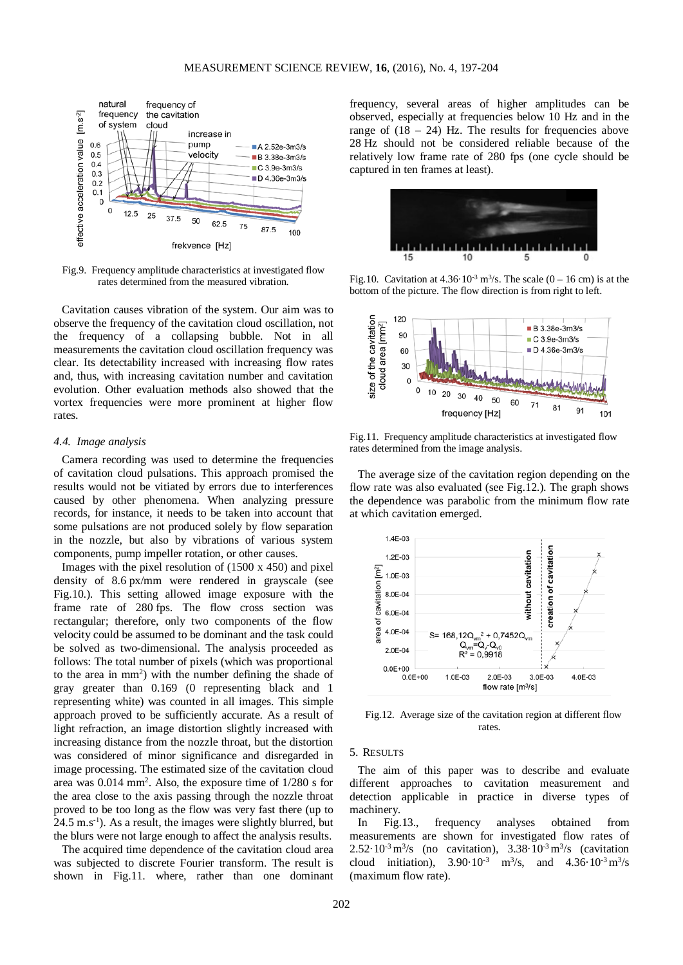

Fig.9. Frequency amplitude characteristics at investigated flow rates determined from the measured vibration.

Cavitation causes vibration of the system. Our aim was to observe the frequency of the cavitation cloud oscillation, not the frequency of a collapsing bubble. Not in all measurements the cavitation cloud oscillation frequency was clear. Its detectability increased with increasing flow rates and, thus, with increasing cavitation number and cavitation evolution. Other evaluation methods also showed that the vortex frequencies were more prominent at higher flow rates.

#### *4.4. Image analysis*

Camera recording was used to determine the frequencies of cavitation cloud pulsations. This approach promised the results would not be vitiated by errors due to interferences caused by other phenomena. When analyzing pressure records, for instance, it needs to be taken into account that some pulsations are not produced solely by flow separation in the nozzle, but also by vibrations of various system components, pump impeller rotation, or other causes.

Images with the pixel resolution of (1500 x 450) and pixel density of 8.6 px/mm were rendered in grayscale (see Fig.10.). This setting allowed image exposure with the frame rate of 280 fps. The flow cross section was rectangular; therefore, only two components of the flow velocity could be assumed to be dominant and the task could be solved as two-dimensional. The analysis proceeded as follows: The total number of pixels (which was proportional to the area in  $mm<sup>2</sup>$ ) with the number defining the shade of gray greater than 0.169 (0 representing black and 1 representing white) was counted in all images. This simple approach proved to be sufficiently accurate. As a result of light refraction, an image distortion slightly increased with increasing distance from the nozzle throat, but the distortion was considered of minor significance and disregarded in image processing. The estimated size of the cavitation cloud area was 0.014 mm2 . Also, the exposure time of 1/280 s for the area close to the axis passing through the nozzle throat proved to be too long as the flow was very fast there (up to  $24.5 \text{ m.s}^{-1}$ ). As a result, the images were slightly blurred, but the blurs were not large enough to affect the analysis results.

The acquired time dependence of the cavitation cloud area was subjected to discrete Fourier transform. The result is shown in Fig.11. where, rather than one dominant frequency, several areas of higher amplitudes can be observed, especially at frequencies below 10 Hz and in the range of  $(18 - 24)$  Hz. The results for frequencies above 28 Hz should not be considered reliable because of the relatively low frame rate of 280 fps (one cycle should be captured in ten frames at least).



Fig.10. Cavitation at  $4.36 \cdot 10^{-3}$  m<sup>3</sup>/s. The scale (0 – 16 cm) is at the bottom of the picture. The flow direction is from right to left.



Fig.11. Frequency amplitude characteristics at investigated flow rates determined from the image analysis.

The average size of the cavitation region depending on the flow rate was also evaluated (see Fig.12.). The graph shows the dependence was parabolic from the minimum flow rate at which cavitation emerged.



Fig.12. Average size of the cavitation region at different flow rates.

## 5. RESULTS

The aim of this paper was to describe and evaluate different approaches to cavitation measurement and detection applicable in practice in diverse types of machinery.

In Fig.13., frequency analyses obtained from measurements are shown for investigated flow rates of 2.52 $\cdot$ 10<sup>-3</sup> m<sup>3</sup>/s (no cavitation), 3.38 $\cdot$ 10<sup>-3</sup> m<sup>3</sup>/s (cavitation cloud initiation).  $\sqrt{s}$ , and 4.36 $\cdot$ 10<sup>-3</sup> m<sup>3</sup>/s (maximum flow rate).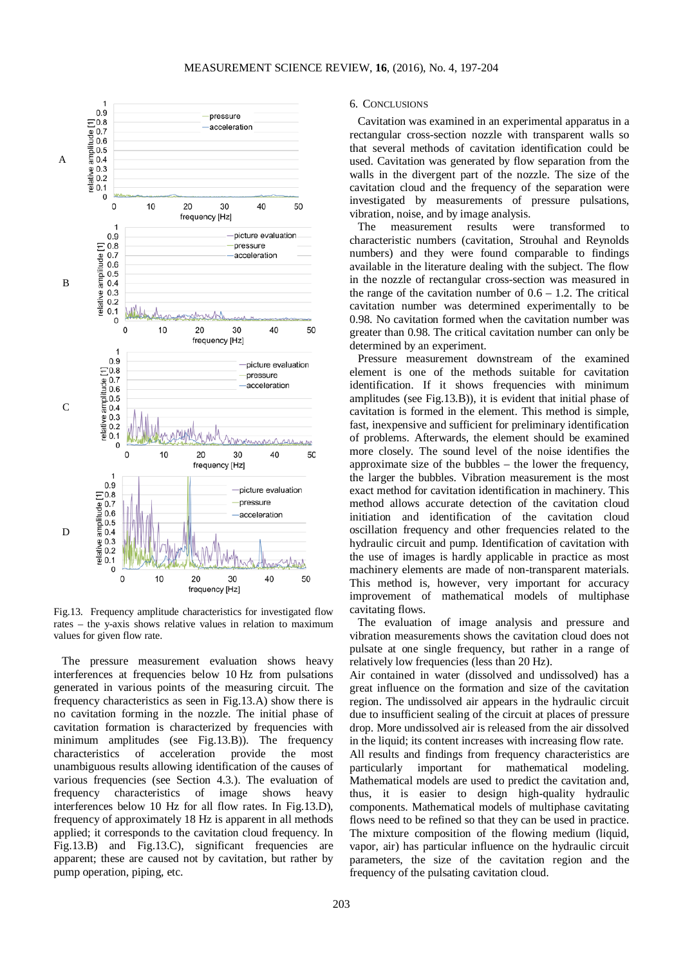

Fig.13. Frequency amplitude characteristics for investigated flow rates – the y-axis shows relative values in relation to maximum values for given flow rate.

The pressure measurement evaluation shows heavy interferences at frequencies below 10 Hz from pulsations generated in various points of the measuring circuit. The frequency characteristics as seen in Fig.13.A) show there is no cavitation forming in the nozzle. The initial phase of cavitation formation is characterized by frequencies with minimum amplitudes (see Fig.13.B)). The frequency characteristics of acceleration provide the most characteristics of acceleration provide the most unambiguous results allowing identification of the causes of various frequencies (see Section 4.3.). The evaluation of frequency characteristics of image shows heavy interferences below 10 Hz for all flow rates. In Fig.13.D), frequency of approximately 18 Hz is apparent in all methods applied; it corresponds to the cavitation cloud frequency. In Fig.13.B) and Fig.13.C), significant frequencies are apparent; these are caused not by cavitation, but rather by pump operation, piping, etc.

# 6. CONCLUSIONS

Cavitation was examined in an experimental apparatus in a rectangular cross-section nozzle with transparent walls so that several methods of cavitation identification could be used. Cavitation was generated by flow separation from the walls in the divergent part of the nozzle. The size of the cavitation cloud and the frequency of the separation were investigated by measurements of pressure pulsations, vibration, noise, and by image analysis.

The measurement results were transformed to characteristic numbers (cavitation, Strouhal and Reynolds numbers) and they were found comparable to findings available in the literature dealing with the subject. The flow in the nozzle of rectangular cross-section was measured in the range of the cavitation number of  $0.6 - 1.2$ . The critical cavitation number was determined experimentally to be 0.98. No cavitation formed when the cavitation number was greater than 0.98. The critical cavitation number can only be determined by an experiment.

Pressure measurement downstream of the examined element is one of the methods suitable for cavitation identification. If it shows frequencies with minimum amplitudes (see Fig.13.B)), it is evident that initial phase of cavitation is formed in the element. This method is simple, fast, inexpensive and sufficient for preliminary identification of problems. Afterwards, the element should be examined more closely. The sound level of the noise identifies the approximate size of the bubbles – the lower the frequency, the larger the bubbles. Vibration measurement is the most exact method for cavitation identification in machinery. This method allows accurate detection of the cavitation cloud initiation and identification of the cavitation cloud oscillation frequency and other frequencies related to the hydraulic circuit and pump. Identification of cavitation with the use of images is hardly applicable in practice as most machinery elements are made of non-transparent materials. This method is, however, very important for accuracy improvement of mathematical models of multiphase cavitating flows.

The evaluation of image analysis and pressure and vibration measurements shows the cavitation cloud does not pulsate at one single frequency, but rather in a range of relatively low frequencies (less than 20 Hz).

Air contained in water (dissolved and undissolved) has a great influence on the formation and size of the cavitation region. The undissolved air appears in the hydraulic circuit due to insufficient sealing of the circuit at places of pressure drop. More undissolved air is released from the air dissolved in the liquid; its content increases with increasing flow rate. All results and findings from frequency characteristics are particularly important for mathematical modeling. Mathematical models are used to predict the cavitation and, thus, it is easier to design high-quality hydraulic components. Mathematical models of multiphase cavitating flows need to be refined so that they can be used in practice. The mixture composition of the flowing medium (liquid, vapor, air) has particular influence on the hydraulic circuit parameters, the size of the cavitation region and the frequency of the pulsating cavitation cloud.